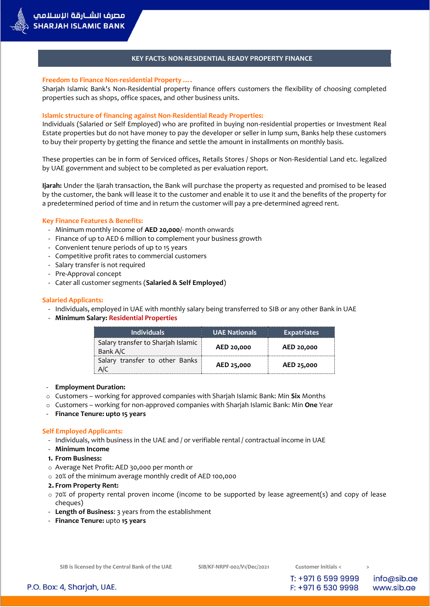## **KEY FACTS: NON-RESIDENTIAL READY PROPERTY FINANCE**

### **Freedom to Finance Non-residential Property ….**

Sharjah Islamic Bank's Non-Residential property finance offers customers the flexibility of choosing completed properties such as shops, office spaces, and other business units.

### **Islamic structure of financing against Non-Residential Ready Properties:**

Individuals (Salaried or Self Employed) who are profited in buying non-residential properties or Investment Real Estate properties but do not have money to pay the developer or seller in lump sum, Banks help these customers to buy their property by getting the finance and settle the amount in installments on monthly basis.

These properties can be in form of Serviced offices, Retails Stores / Shops or Non-Residential Land etc. legalized by UAE government and subject to be completed as per evaluation report.

**Ijarah:** Under the Ijarah transaction, the Bank will purchase the property as requested and promised to be leased by the customer, the bank will lease it to the customer and enable it to use it and the benefits of the property for a predetermined period of time and in return the customer will pay a pre-determined agreed rent.

### **Key Finance Features & Benefits:**

- Minimum monthly income of **AED 20,000**/- month onwards
- Finance of up to AED 6 million to complement your business growth
- Convenient tenure periods of up to 15 years
- Competitive profit rates to commercial customers
- Salary transfer is not required
- Pre-Approval concept
- Cater all customer segments (**Salaried & Self Employed**)

### **Salaried Applicants:**

- Individuals, employed in UAE with monthly salary being transferred to SIB or any other Bank in UAE
- **Minimum Salary: Residential Properties**

| <b>Individuals</b>                             | <b>UAE Nationals</b> | <b>Expatriates</b> |
|------------------------------------------------|----------------------|--------------------|
| Salary transfer to Sharjah Islamic<br>Bank A/C | AED 20,000           | AED 20,000         |
| Salary transfer to other Banks                 | AED 25,000           | AED 25,000         |

#### - **Employment Duration:**

- o Customers working for approved companies with Sharjah Islamic Bank: Min **Six** Months
- o Customers working for non-approved companies with Sharjah Islamic Bank: Min **One** Year
- **Finance Tenure: upto 15 years**

### **Self Employed Applicants:**

- Individuals, with business in the UAE and / or verifiable rental / contractual income in UAE
- **Minimum Income**
- **1. From Business:**
- o Average Net Profit: AED 30,000 per month or
- o 20% of the minimum average monthly credit of AED 100,000

#### **2. From Property Rent:**

- $\circ$  70% of property rental proven income (income to be supported by lease agreement(s) and copy of lease cheques)
- **Length of Business**: 3 years from the establishment
- **Finance Tenure:** upto **15 years**

T: +971 6 599 9999

F: +971 6 530 9998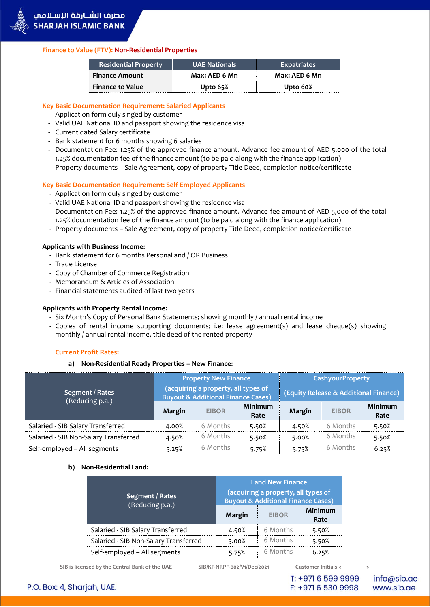

# **Finance to Value (FTV): Non-Residential Properties**

| <b>Residential Property</b> | <b>UAE Nationals</b> | <b>Expatriates</b> |  |
|-----------------------------|----------------------|--------------------|--|
| <b>Finance Amount</b>       | Max: AED 6 Mn        | Max: AED 6 Mn      |  |
| <b>Finance to Value</b>     | Upto $65\%$          | Upto 60%           |  |

# **Key Basic Documentation Requirement: Salaried Applicants**

- Application form duly singed by customer
- Valid UAE National ID and passport showing the residence visa
- Current dated Salary certificate
- Bank statement for 6 months showing 6 salaries
- Documentation Fee: 1.25% of the approved finance amount. Advance fee amount of AED 5,000 of the total 1.25% documentation fee of the finance amount (to be paid along with the finance application)
- Property documents Sale Agreement, copy of property Title Deed, completion notice/certificate

# **Key Basic Documentation Requirement: Self Employed Applicants**

- Application form duly singed by customer
- Valid UAE National ID and passport showing the residence visa
- Documentation Fee: 1.25% of the approved finance amount. Advance fee amount of AED 5,000 of the total 1.25% documentation fee of the finance amount (to be paid along with the finance application)
- Property documents Sale Agreement, copy of property Title Deed, completion notice/certificate

# **Applicants with Business Income:**

- Bank statement for 6 months Personal and / OR Business
- Trade License
- Copy of Chamber of Commerce Registration
- Memorandum & Articles of Association
- Financial statements audited of last two years

# **Applicants with Property Rental Income:**

- Six Month's Copy of Personal Bank Statements; showing monthly / annual rental income
- Copies of rental income supporting documents; i.e: lease agreement(s) and lease cheque(s) showing monthly / annual rental income, title deed of the rented property

# **Current Profit Rates:**

**a) Non-Residential Ready Properties – New Finance:**

| Segment / Rates<br>(Reducing p.a.)    | <b>Property New Finance</b><br>(acquiring a property, all types of<br><b>Buyout &amp; Additional Finance Cases)</b> |              |                 | <b>CashyourProperty</b><br>(Equity Release & Additional Finance) |              |                        |
|---------------------------------------|---------------------------------------------------------------------------------------------------------------------|--------------|-----------------|------------------------------------------------------------------|--------------|------------------------|
|                                       | Margin                                                                                                              | <b>EIBOR</b> | Minimum<br>Rate | Margin                                                           | <b>EIBOR</b> | <b>Minimum</b><br>Rate |
| Salaried - SIB Salary Transferred     | 4.00%                                                                                                               | 6 Months     | 5.50%           | 4.50%                                                            | 6 Months     | 5.50%                  |
| Salaried - SIB Non-Salary Transferred | 4.50%                                                                                                               | 6 Months     | 5.50%           | 5.00%                                                            | 6 Months     | 5.50%                  |
| Self-employed - All segments          | 5.25%                                                                                                               | 6 Months     | 5.75%           | 5.75%                                                            | 6 Months     | 6.25%                  |

# **b) Non-Residential Land:**

| Segment / Rates<br>(Reducing p.a.)    | <b>Land New Finance</b><br>(acquiring a property, all types of<br><b>Buyout &amp; Additional Finance Cases)</b> |              |                 |
|---------------------------------------|-----------------------------------------------------------------------------------------------------------------|--------------|-----------------|
|                                       | Margin                                                                                                          | <b>EIBOR</b> | Minimum<br>Rate |
| Salaried - SIB Salary Transferred     | 4.50%                                                                                                           | 6 Months     | 5.50%           |
| Salaried - SIB Non-Salary Transferred | 5.00%                                                                                                           | 6 Months     | 5.50%           |
| Self-employed - All segments          | 5.75%                                                                                                           | 6 Months     | 6.25%           |

**SIB is licensed by the Central Bank of the UAE SIB/KF-NRPF-002/V1/Dec/2021 Customer Initials < >**

T: +971 6 599 9999 F: +971 6 530 9998

info@sib.ae www.sib.ae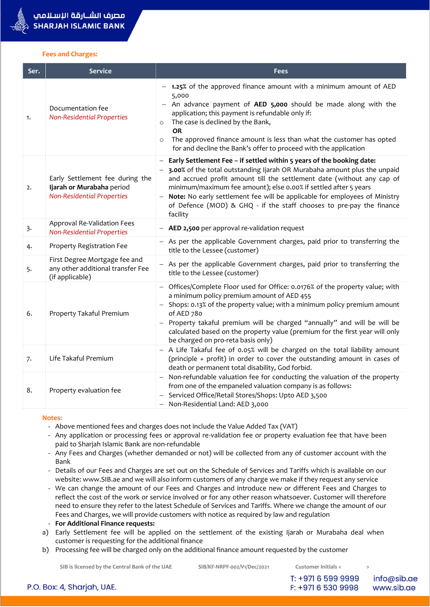#### **Fees and Charges:**

| Ser. | <b>Service</b>                                                                                    | <b>Fees</b>                                                                                                                                                                                                                                                                                                                                                                                                                                                             |
|------|---------------------------------------------------------------------------------------------------|-------------------------------------------------------------------------------------------------------------------------------------------------------------------------------------------------------------------------------------------------------------------------------------------------------------------------------------------------------------------------------------------------------------------------------------------------------------------------|
| 1.   | Documentation fee<br><b>Non-Residential Properties</b>                                            | 1.25% of the approved finance amount with a minimum amount of AED<br>5,000<br>An advance payment of AED 5,000 should be made along with the<br>application; this payment is refundable only if:<br>The case is declined by the Bank,<br>$\circ$<br><b>OR</b><br>The approved finance amount is less than what the customer has opted<br>for and decline the Bank's offer to proceed with the application                                                                |
| 2.   | Early Settlement fee during the<br>Ijarah or Murabaha period<br><b>Non-Residential Properties</b> | - Early Settlement Fee - if settled within 5 years of the booking date:<br>- 3.00% of the total outstanding Ijarah OR Murabaha amount plus the unpaid<br>and accrued profit amount till the settlement date (without any cap of<br>minimum/maximum fee amount); else 0.00% if settled after 5 years<br>- Note: No early settlement fee will be applicable for employees of Ministry<br>of Defence (MOD) & GHQ - if the staff chooses to pre-pay the finance<br>facility |
| 3.   | Approval Re-Validation Fees<br><b>Non-Residential Properties</b>                                  | - AED 2,500 per approval re-validation request                                                                                                                                                                                                                                                                                                                                                                                                                          |
| 4.   | Property Registration Fee                                                                         | - As per the applicable Government charges, paid prior to transferring the<br>title to the Lessee (customer)                                                                                                                                                                                                                                                                                                                                                            |
| 5.   | First Degree Mortgage fee and<br>any other additional transfer Fee<br>(if applicable)             | - As per the applicable Government charges, paid prior to transferring the<br>title to the Lessee (customer)                                                                                                                                                                                                                                                                                                                                                            |
| 6.   | Property Takaful Premium                                                                          | Offices/Complete Floor used for Office: 0.0176% of the property value; with<br>a minimum policy premium amount of AED 455<br>- Shops: 0.13% of the property value; with a minimum policy premium amount<br>of AED 780<br>- Property takaful premium will be charged "annually" and will be will be<br>calculated based on the property value (premium for the first year will only<br>be charged on pro-reta basis only)                                                |
| 7.   | Life Takaful Premium                                                                              | - A Life Takaful fee of 0.05% will be charged on the total liability amount<br>(principle + profit) in order to cover the outstanding amount in cases of<br>death or permanent total disability, God forbid.                                                                                                                                                                                                                                                            |
| 8.   | Property evaluation fee                                                                           | - Non-refundable valuation fee for conducting the valuation of the property<br>from one of the empaneled valuation company is as follows:<br>- Serviced Office/Retail Stores/Shops: Upto AED 3,500<br>- Non-Residential Land: AED 3,000                                                                                                                                                                                                                                 |

#### **Notes:**

- Above mentioned fees and charges does not include the Value Added Tax (VAT)

- Any application or processing fees or approval re-validation fee or property evaluation fee that have been paid to Sharjah Islamic Bank are non-refundable
- Any Fees and Charges (whether demanded or not) will be collected from any of customer account with the Bank
- Details of our Fees and Charges are set out on the Schedule of Services and Tariffs which is available on our website: www.SIB.ae and we will also inform customers of any charge we make if they request any service
- We can change the amount of our Fees and Charges and introduce new or different Fees and Charges to reflect the cost of the work or service involved or for any other reason whatsoever. Customer will therefore need to ensure they refer to the latest Schedule of Services and Tariffs. Where we change the amount of our Fees and Charges, we will provide customers with notice as required by law and regulation
- **For Additional Finance requests:**
- a) Early Settlement fee will be applied on the settlement of the existing Ijarah or Murabaha deal when customer is requesting for the additional finance
- b) Processing fee will be charged only on the additional finance amount requested by the customer

**SIB is licensed by the Central Bank of the UAE SIB/KF-NRPF-002/V1/Dec/2021 Customer Initials < >**

T: +971 6 599 9999

F: +971 6 530 9998

info@sib.ae www.sib.ae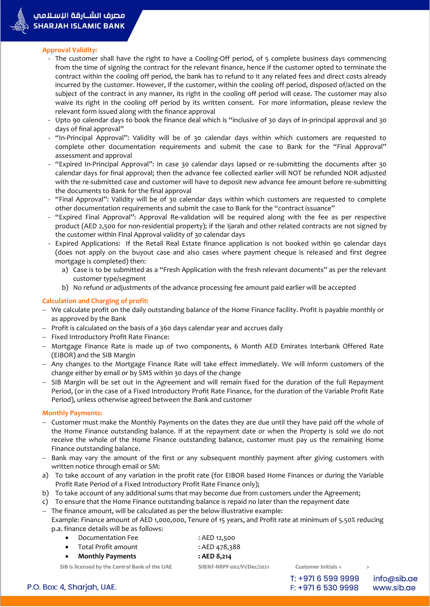

### **Approval Validity:**

- The customer shall have the right to have a Cooling-Off period, of 5 complete business days commencing from the time of signing the contract for the relevant finance, hence if the customer opted to terminate the contract within the cooling off period, the bank has to refund to it any related fees and direct costs already incurred by the customer. However, if the customer, within the cooling off period, disposed of/acted on the subject of the contract in any manner, its right in the cooling off period will cease. The customer may also waive its right in the cooling off period by its written consent. For more information, please review the relevant form issued along with the finance approval
- Upto 90 calendar days to book the finance deal which is "inclusive of 30 days of in-principal approval and 30 days of final approval"
- "In-Principal Approval": Validity will be of 30 calendar days within which customers are requested to complete other documentation requirements and submit the case to Bank for the "Final Approval" assessment and approval
- "Expired In-Principal Approval": In case 30 calendar days lapsed or re-submitting the documents after 30 calendar days for final approval; then the advance fee collected earlier will NOT be refunded NOR adjusted with the re-submitted case and customer will have to deposit new advance fee amount before re-submitting the documents to Bank for the final approval
- "Final Approval": Validity will be of 30 calendar days within which customers are requested to complete other documentation requirements and submit the case to Bank for the "contract issuance"
- "Expired Final Approval": Approval Re-validation will be required along with the fee as per respective product (AED 2,500 for non-residential property); if the Ijarah and other related contracts are not signed by the customer within Final Approval validity of 30 calendar days
- Expired Applications: If the Retail Real Estate finance application is not booked within 90 calendar days (does not apply on the buyout case and also cases where payment cheque is released and first degree mortgage is completed) then:
	- a) Case is to be submitted as a "Fresh Application with the fresh relevant documents" as per the relevant customer type/segment
	- b) No refund or adjustments of the advance processing fee amount paid earlier will be accepted

## **Calculation and Charging of profit:**

- We calculate profit on the daily outstanding balance of the Home Finance facility. Profit is payable monthly or as approved by the Bank
- $-$  Profit is calculated on the basis of a 360 days calendar year and accrues daily
- Fixed Introductory Profit Rate Finance:
- Mortgage Finance Rate is made up of two components, 6 Month AED Emirates Interbank Offered Rate (EIBOR) and the SIB Margin
- Any changes to the Mortgage Finance Rate will take effect immediately. We will inform customers of the change either by email or by SMS within 30 days of the change
- SIB Margin will be set out in the Agreement and will remain fixed for the duration of the full Repayment Period, (or in the case of a Fixed Introductory Profit Rate Finance, for the duration of the Variable Profit Rate Period), unless otherwise agreed between the Bank and customer

### **Monthly Payments:**

- Customer must make the Monthly Payments on the dates they are due until they have paid off the whole of the Home Finance outstanding balance. If at the repayment date or when the Property is sold we do not receive the whole of the Home Finance outstanding balance, customer must pay us the remaining Home Finance outstanding balance.
- Bank may vary the amount of the first or any subsequent monthly payment after giving customers with written notice through email or SM:
- a) To take account of any variation in the profit rate (for EIBOR based Home Finances or during the Variable Profit Rate Period of a Fixed Introductory Profit Rate Finance only);
- b) To take account of any additional sums that may become due from customers under the Agreement;
- c) To ensure that the Home Finance outstanding balance is repaid no later than the repayment date
- The finance amount, will be calculated as per the below illustrative example:

Example: Finance amount of AED 1,000,000, Tenure of 15 years, and Profit rate at minimum of 5.50% reducing p.a. finance details will be as follows:

- Documentation Fee : AED 12,500
- Total Profit amount : AED 478,388
- **Monthly Payments : AED 8,214**
- 

**SIB is licensed by the Central Bank of the UAE SIB/KF-NRPF-002/V1/Dec/2021 Customer Initials < >**

T: +971 6 599 9999 F: +971 6 530 9998

info@sib.ae www.sib.ae